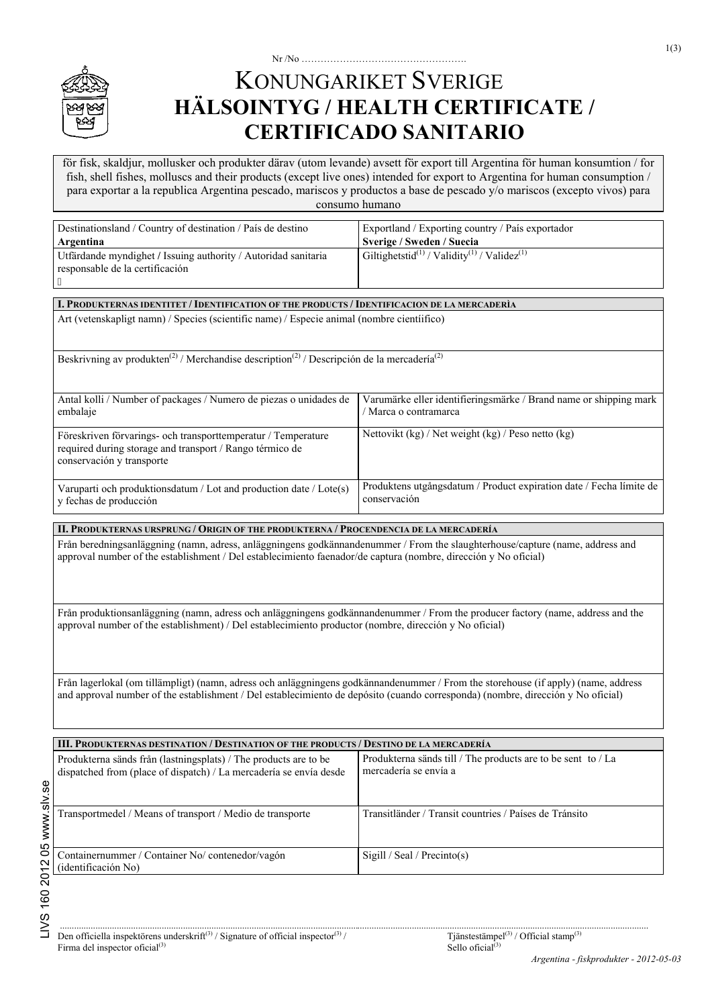

# Nr /No ……………………………………………. KONUNGARIKET SVERIGE **HÄLSOINTYG / HEALTH CERTIFICATE / CERTIFICADO SANITARIO**

 para exportar a la republica Argentina pescado, mariscos y productos a base de pescado y/o mariscos (excepto vivos) para för fisk, skaldjur, mollusker och produkter därav (utom levande) avsett för export till Argentina för human konsumtion / for fish, shell fishes, molluscs and their products (except live ones) intended for export to Argentina for human consumption / consumo humano

| Destinationsland / Country of destination / País de destino                                                                                                                                                                                                            | Exportland / Exporting country / País exportador                                           |
|------------------------------------------------------------------------------------------------------------------------------------------------------------------------------------------------------------------------------------------------------------------------|--------------------------------------------------------------------------------------------|
| Argentina                                                                                                                                                                                                                                                              | Sverige / Sweden / Suecia                                                                  |
| Utfärdande myndighet / Issuing authority / Autoridad sanitaria<br>responsable de la certificación                                                                                                                                                                      | Giltighetstid <sup>(1)</sup> / Validity <sup>(1)</sup> / Validez <sup>(1)</sup>            |
| I. PRODUKTERNAS IDENTITET / IDENTIFICATION OF THE PRODUCTS / IDENTIFICACION DE LA MERCADERÌA                                                                                                                                                                           |                                                                                            |
| Art (vetenskapligt namn) / Species (scientific name) / Especie animal (nombre científico)                                                                                                                                                                              |                                                                                            |
| Beskrivning av produkten <sup>(2)</sup> / Merchandise description <sup>(2)</sup> / Descripción de la mercadería <sup>(2)</sup>                                                                                                                                         |                                                                                            |
| Antal kolli / Number of packages / Numero de piezas o unidades de<br>embalaje                                                                                                                                                                                          | Varumärke eller identifieringsmärke / Brand name or shipping mark<br>/ Marca o contramarca |
| Föreskriven förvarings- och transporttemperatur / Temperature<br>required during storage and transport / Rango térmico de<br>conservación y transporte                                                                                                                 | Nettovikt (kg) / Net weight (kg) / Peso netto (kg)                                         |
| Varuparti och produktionsdatum / Lot and production date / Lote(s)<br>y fechas de producción                                                                                                                                                                           | Produktens utgångsdatum / Product expiration date / Fecha límite de<br>conservación        |
| II. PRODUKTERNAS URSPRUNG / ORIGIN OF THE PRODUKTERNA / PROCENDENCIA DE LA MERCADERÍA                                                                                                                                                                                  |                                                                                            |
| Från beredningsanläggning (namn, adress, anläggningens godkännandenummer / From the slaughterhouse/capture (name, address and<br>approval number of the establishment / Del establecimiento faenador/de captura (nombre, dirección y No oficial)                       |                                                                                            |
| Från produktionsanläggning (namn, adress och anläggningens godkännandenummer / From the producer factory (name, address and the<br>approval number of the establishment) / Del establecimiento productor (nombre, dirección y No oficial)                              |                                                                                            |
| Från lagerlokal (om tillämpligt) (namn, adress och anläggningens godkännandenummer / From the storehouse (if apply) (name, address<br>and approval number of the establishment / Del establecimiento de depósito (cuando corresponda) (nombre, dirección y No oficial) |                                                                                            |
| III. PRODUKTERNAS DESTINATION / DESTINATION OF THE PRODUCTS / DESTINO DE LA MERCADERÍA                                                                                                                                                                                 |                                                                                            |
| Produkterna sänds från (lastningsplats) / The products are to be<br>dispatched from (place of dispatch) / La mercadería se envía desde                                                                                                                                 | Produkterna sänds till / The products are to be sent to / La<br>mercadería se envía a      |
| Transportmedel / Means of transport / Medio de transporte                                                                                                                                                                                                              | Transitländer / Transit countries / Países de Tránsito                                     |
| Containernummer / Container No/ contenedor/vagón<br>(identificación No)                                                                                                                                                                                                | Sigill / Seal / Precinto(s)                                                                |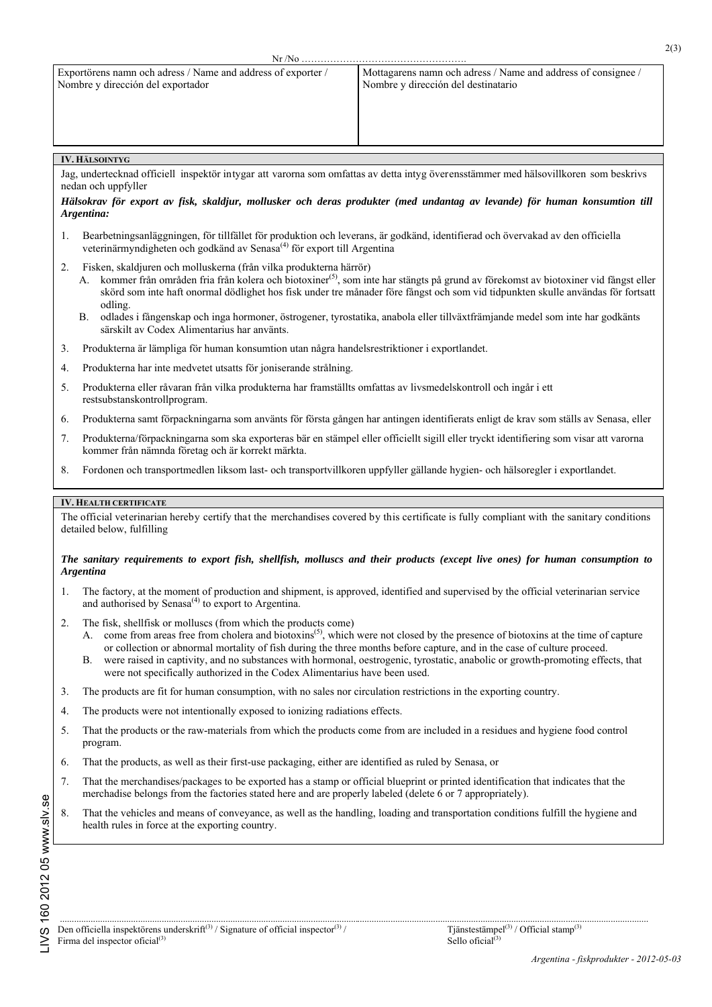# **IV. HÄLSOINTYG**

 nedan och uppfyller Jag, undertecknad officiell inspektör intygar att varorna som omfattas av detta intyg överensstämmer med hälsovillkoren som beskrivs

## *Hälsokrav för export av fisk, skaldjur, mollusker och deras produkter (med undantag av levande) för human konsumtion till Argentina:*

- 1. Bearbetningsanläggningen, för tillfället för produktion och leverans, är godkänd, identifierad och övervakad av den officiella veterinärmyndigheten och godkänd av Senasa<sup>(4)</sup> för export till Argentina
- 2. Fisken, skaldjuren och molluskerna (från vilka produkterna härrör)
	- A. kommer från områden fria från kolera och biotoxiner<sup>(5)</sup>, som inte har stängts på grund av förekomst av biotoxiner vid fångst eller skörd som inte haft onormal dödlighet hos fisk under tre månader före fångst och som vid tidpunkten skulle användas för fortsatt odling.
	- B. odlades i fångenskap och inga hormoner, östrogener, tyrostatika, anabola eller tillväxtfrämjande medel som inte har godkänts särskilt av Codex Alimentarius har använts.
- 3. Produkterna är lämpliga för human konsumtion utan några handelsrestriktioner i exportlandet.
- 4. Produkterna har inte medvetet utsatts för joniserande strålning.
- 5. Produkterna eller råvaran från vilka produkterna har framställts omfattas av livsmedelskontroll och ingår i ett restsubstanskontrollprogram.
- 6. Produkterna samt förpackningarna som använts för första gången har antingen identifierats enligt de krav som ställs av Senasa, eller
- 7. Produkterna/förpackningarna som ska exporteras bär en stämpel eller officiellt sigill eller tryckt identifiering som visar att varorna kommer från nämnda företag och är korrekt märkta.
- 8. Fordonen och transportmedlen liksom last- och transportvillkoren uppfyller gällande hygien- och hälsoregler i exportlandet.

## **IV. HEALTH CERTIFICATE**

The official veterinarian hereby certify that the merchandises covered by this certificate is fully compliant with the sanitary conditions detailed below, fulfilling

### *The sanitary requirements to export fish, shellfish, molluscs and their products (except live ones) for human consumption to Argentina*

- 1. The factory, at the moment of production and shipment, is approved, identified and supervised by the official veterinarian service and authorised by Senasa $^{(4)}$  to export to Argentina.
- 2. The fisk, shellfisk or molluscs (from which the products come)
	- A. come from areas free from cholera and biotoxins<sup>(5)</sup>, which were not closed by the presence of biotoxins at the time of capture or collection or abnormal mortality of fish during the three months before capture, and in the case of culture proceed.
	- B. were raised in captivity, and no substances with hormonal, oestrogenic, tyrostatic, anabolic or growth-promoting effects, that were not specifically authorized in the Codex Alimentarius have been used.
- 3. The products are fit for human consumption, with no sales nor circulation restrictions in the exporting country.
- 4. The products were not intentionally exposed to ionizing radiations effects.
- 5. That the products or the raw-materials from which the products come from are included in a residues and hygiene food control program.
- 6. That the products, as well as their first-use packaging, either are identified as ruled by Senasa, or
- 7. That the merchandises/packages to be exported has a stamp or official blueprint or printed identification that indicates that the merchadise belongs from the factories stated here and are properly labeled (delete 6 or 7 appropriately).
- 8. That the vehicles and means of conveyance, as well as the handling, loading and transportation conditions fulfill the hygiene and health rules in force at the exporting country.

.........................................................................................................................................................................................................................................................